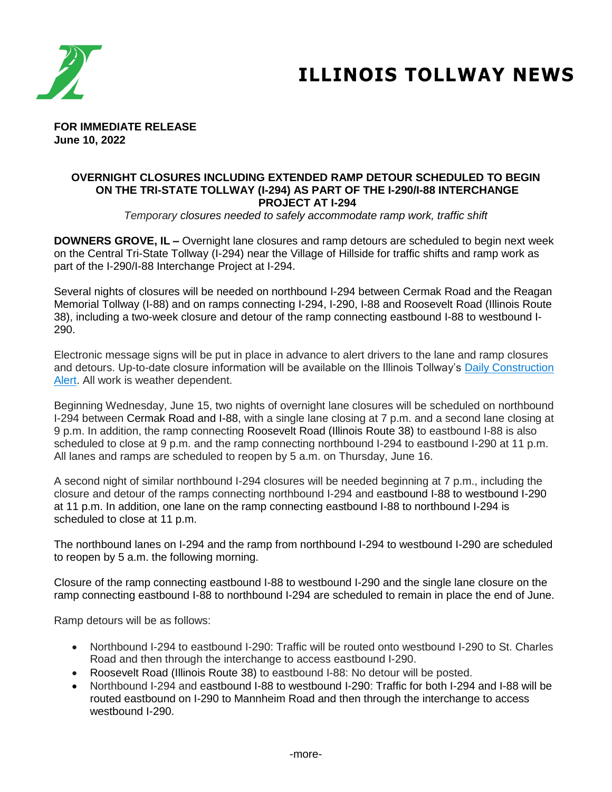

# **ILLINOIS TOLLWAY NEWS**

**FOR IMMEDIATE RELEASE June 10, 2022**

#### **OVERNIGHT CLOSURES INCLUDING EXTENDED RAMP DETOUR SCHEDULED TO BEGIN ON THE TRI-STATE TOLLWAY (I-294) AS PART OF THE I-290/I-88 INTERCHANGE PROJECT AT I-294**

*Temporary closures needed to safely accommodate ramp work, traffic shift*

**DOWNERS GROVE, IL –** Overnight lane closures and ramp detours are scheduled to begin next week on the Central Tri-State Tollway (I-294) near the Village of Hillside for traffic shifts and ramp work as part of the I-290/I-88 Interchange Project at I-294.

Several nights of closures will be needed on northbound I-294 between Cermak Road and the Reagan Memorial Tollway (I-88) and on ramps connecting I-294, I-290, I-88 and Roosevelt Road (Illinois Route 38), including a two-week closure and detour of the ramp connecting eastbound I-88 to westbound I-290.

Electronic message signs will be put in place in advance to alert drivers to the lane and ramp closures and detours. Up-to-date closure information will be available on the Illinois Tollway's [Daily Construction](https://www.illinoistollway.com/media-center/construction-alerts)  [Alert.](https://www.illinoistollway.com/media-center/construction-alerts) All work is weather dependent.

Beginning Wednesday, June 15, two nights of overnight lane closures will be scheduled on northbound I-294 between Cermak Road and I-88, with a single lane closing at 7 p.m. and a second lane closing at 9 p.m. In addition, the ramp connecting Roosevelt Road (Illinois Route 38) to eastbound I-88 is also scheduled to close at 9 p.m. and the ramp connecting northbound I-294 to eastbound I-290 at 11 p.m. All lanes and ramps are scheduled to reopen by 5 a.m. on Thursday, June 16.

A second night of similar northbound I-294 closures will be needed beginning at 7 p.m., including the closure and detour of the ramps connecting northbound I-294 and eastbound I-88 to westbound I-290 at 11 p.m. In addition, one lane on the ramp connecting eastbound I-88 to northbound I-294 is scheduled to close at 11 p.m.

The northbound lanes on I-294 and the ramp from northbound I-294 to westbound I-290 are scheduled to reopen by 5 a.m. the following morning.

Closure of the ramp connecting eastbound I-88 to westbound I-290 and the single lane closure on the ramp connecting eastbound I-88 to northbound I-294 are scheduled to remain in place the end of June.

Ramp detours will be as follows:

- Northbound I-294 to eastbound I-290: Traffic will be routed onto westbound I-290 to St. Charles Road and then through the interchange to access eastbound I-290.
- Roosevelt Road (Illinois Route 38) to eastbound I-88: No detour will be posted.
- Northbound I-294 and eastbound I-88 to westbound I-290: Traffic for both I-294 and I-88 will be routed eastbound on I-290 to Mannheim Road and then through the interchange to access westbound I-290.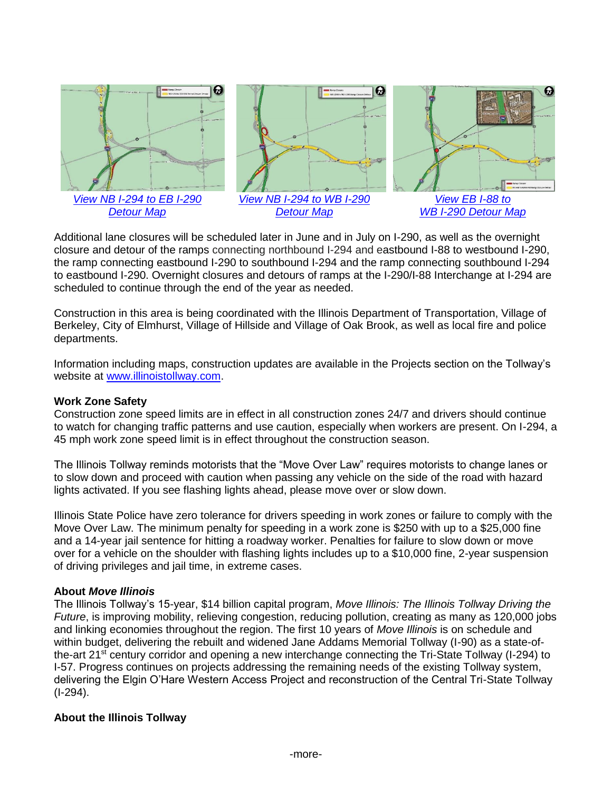

Additional lane closures will be scheduled later in June and in July on I-290, as well as the overnight closure and detour of the ramps connecting northbound I-294 and eastbound I-88 to westbound I-290, the ramp connecting eastbound I-290 to southbound I-294 and the ramp connecting southbound I-294 to eastbound I-290. Overnight closures and detours of ramps at the I-290/I-88 Interchange at I-294 are scheduled to continue through the end of the year as needed.

Construction in this area is being coordinated with the Illinois Department of Transportation, Village of Berkeley, City of Elmhurst, Village of Hillside and Village of Oak Brook, as well as local fire and police departments.

Information including maps, construction updates are available in the Projects section on the Tollway's website at [www.illinoistollway.com.](http://www.illinoistollway.com/)

## **Work Zone Safety**

Construction zone speed limits are in effect in all construction zones 24/7 and drivers should continue to watch for changing traffic patterns and use caution, especially when workers are present. On I-294, a 45 mph work zone speed limit is in effect throughout the construction season.

The Illinois Tollway reminds motorists that the "Move Over Law" requires motorists to change lanes or to slow down and proceed with caution when passing any vehicle on the side of the road with hazard lights activated. If you see flashing lights ahead, please move over or slow down.

Illinois State Police have zero tolerance for drivers speeding in work zones or failure to comply with the Move Over Law. The minimum penalty for speeding in a work zone is \$250 with up to a \$25,000 fine and a 14-year jail sentence for hitting a roadway worker. Penalties for failure to slow down or move over for a vehicle on the shoulder with flashing lights includes up to a \$10,000 fine, 2-year suspension of driving privileges and jail time, in extreme cases.

### **About** *Move Illinois*

The Illinois Tollway's 15-year, \$14 billion capital program, *Move Illinois: The Illinois Tollway Driving the Future*, is improving mobility, relieving congestion, reducing pollution, creating as many as 120,000 jobs and linking economies throughout the region. The first 10 years of *Move Illinois* is on schedule and within budget, delivering the rebuilt and widened Jane Addams Memorial Tollway (I-90) as a state-ofthe-art 21<sup>st</sup> century corridor and opening a new interchange connecting the Tri-State Tollway (I-294) to I-57. Progress continues on projects addressing the remaining needs of the existing Tollway system, delivering the Elgin O'Hare Western Access Project and reconstruction of the Central Tri-State Tollway (I-294).

## **About the Illinois Tollway**